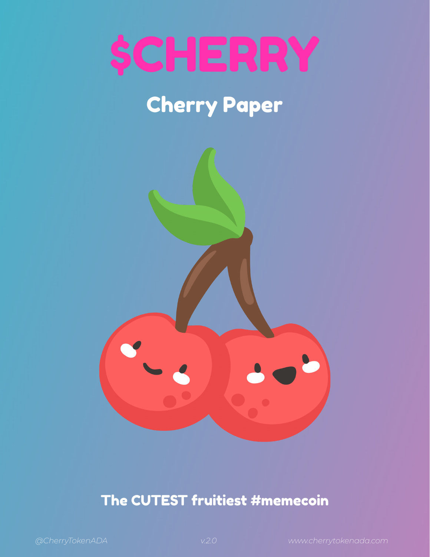

# Cherry Paper



### The CUTEST fruitiest #memecoin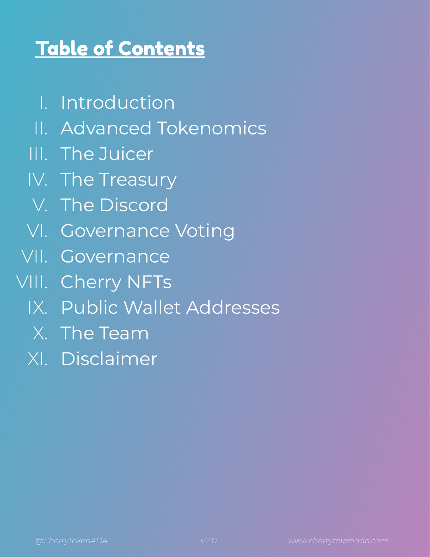## Table of Contents

- I. Introduction
- II. Advanced Tokenomics
- III. The Juicer
- IV. The Treasury
- V. The Discord
- VI. Governance Voting
- VII. Governance
- VIII. Cherry NFTs
	- IX. Public Wallet Addresses
	- X. The Team
	- XI. Disclaimer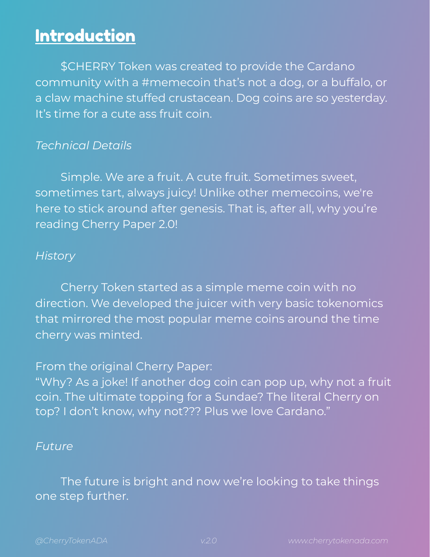### Introduction

\$CHERRY Token was created to provide the Cardano community with a #memecoin that's not a dog, or a buffalo, or a claw machine stuffed crustacean. Dog coins are so yesterday. It's time for a cute ass fruit coin.

### *Technical Details*

Simple. We are a fruit. A cute fruit. Sometimes sweet, sometimes tart, always juicy! Unlike other memecoins, we're here to stick around after genesis. That is, after all, why you're reading Cherry Paper 2.0!

### *History*

Cherry Token started as a simple meme coin with no direction. We developed the juicer with very basic tokenomics that mirrored the most popular meme coins around the time cherry was minted.

### From the original Cherry Paper:

"Why? As a joke! If another dog coin can pop up, why not a fruit coin. The ultimate topping for a Sundae? The literal Cherry on top? I don't know, why not??? Plus we love Cardano."

### *Future*

The future is bright and now we're looking to take things one step further.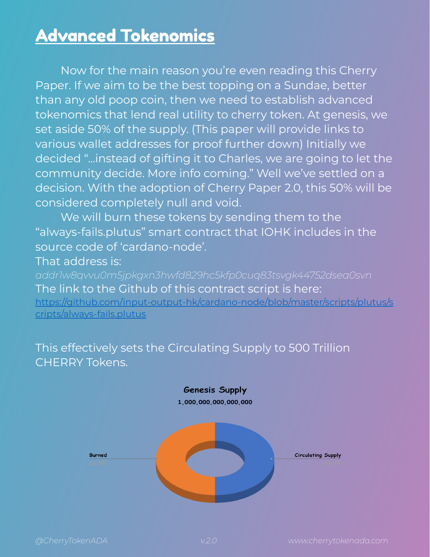### Advanced Tokenomics

Now for the main reason you're even reading this Cherry Paper. If we aim to be the best topping on a Sundae, better than any old poop coin, then we need to establish advanced tokenomics that lend real utility to cherry token. At genesis, we set aside 50% of the supply. (This paper will provide links to various wallet addresses for proof further down) Initially we decided "...instead of gifting it to Charles, we are going to let the community decide. More info coming." Well we've settled on a decision. With the adoption of Cherry Paper 2.0, this 50% will be considered completely null and void.

We will burn these tokens by sending them to the "always-fails.plutus" smart contract that IOHK includes in the source code of 'cardano-node'.

That address is:

*addr1w8qvvu0m5jpkgxn3hwfd829hc5kfp0cuq83tsvgk44752dsea0svn* The link to the Github of this contract script is here[:](https://github.com/input-output-hk/cardano-node/blob/master/scripts/plutus/scripts/always-fails.plutus)

[https://github.com/input-output-hk/cardano-node/blob/master/scripts/plutus/s](https://github.com/input-output-hk/cardano-node/blob/master/scripts/plutus/scripts/always-fails.plutus) [cripts/always-fails.plutus](https://github.com/input-output-hk/cardano-node/blob/master/scripts/plutus/scripts/always-fails.plutus)

This effectively sets the Circulating Supply to 500 Trillion CHERRY Tokens.

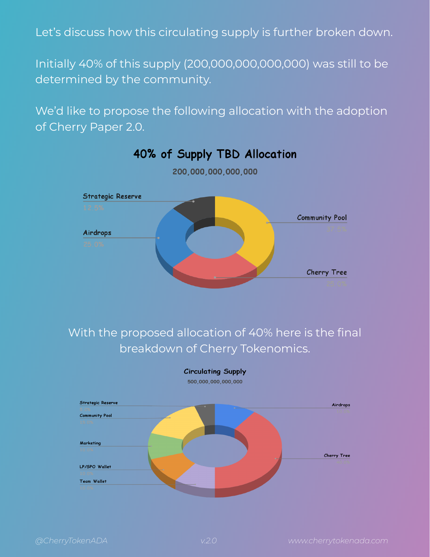Let's discuss how this circulating supply is further broken down.

Initially 40% of this supply (200,000,000,000,000) was still to be determined by the community.

We'd like to propose the following allocation with the adoption of Cherry Paper 2.0.



40% of Supply TBD Allocation 200,000,000,000,000

### With the proposed allocation of 40% here is the final breakdown of Cherry Tokenomics.



**Circulating Supply**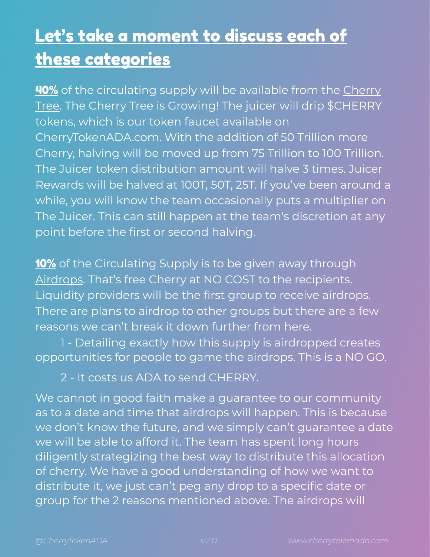### Let's take a moment to discuss each of these categories

**40%** of the circulating supply will be available from the Cherry Tree. The Cherry Tree is Growing! The juicer will drip \$CHERRY tokens, which is our token faucet available on CherryTokenADA.com. With the addition of 50 Trillion more Cherry, halving will be moved up from 75 Trillion to 100 Trillion. The Juicer token distribution amount will halve 3 times. Juicer Rewards will be halved at 100T, 50T, 25T. If you've been around a while, you will know the team occasionally puts a multiplier on The Juicer. This can still happen at the team's discretion at any point before the first or second halving.

10% of the Circulating Supply is to be given away through Airdrops. That's free Cherry at NO COST to the recipients. Liquidity providers will be the first group to receive airdrops. There are plans to airdrop to other groups but there are a few reasons we can't break it down further from here.

1 - Detailing exactly how this supply is airdropped creates opportunities for people to game the airdrops. This is a NO GO.

2 - It costs us ADA to send CHERRY.

We cannot in good faith make a guarantee to our community as to a date and time that airdrops will happen. This is because we don't know the future, and we simply can't guarantee a date we will be able to afford it. The team has spent long hours diligently strategizing the best way to distribute this allocation of cherry. We have a good understanding of how we want to distribute it, we just can't peg any drop to a specific date or group for the 2 reasons mentioned above. The airdrops will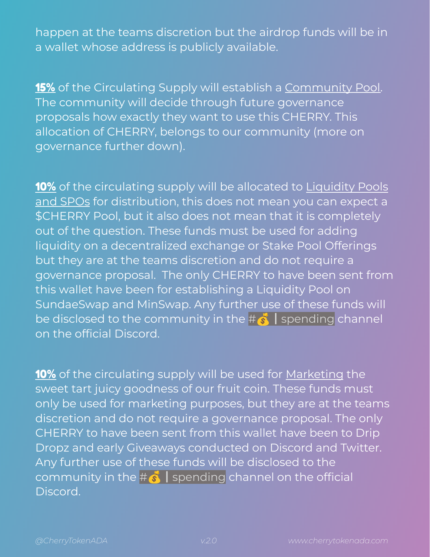happen at the teams discretion but the airdrop funds will be in a wallet whose address is publicly available.

15% of the Circulating Supply will establish a Community Pool. The community will decide through future governance proposals how exactly they want to use this CHERRY. This allocation of CHERRY, belongs to our community (more on governance further down).

10% of the circulating supply will be allocated to Liquidity Pools and SPOs for distribution, this does not mean you can expect a \$CHERRY Pool, but it also does not mean that it is completely out of the question. These funds must be used for adding liquidity on a decentralized exchange or Stake Pool Offerings but they are at the teams discretion and do not require a governance proposal. The only CHERRY to have been sent from this wallet have been for establishing a Liquidity Pool on SundaeSwap and MinSwap. Any further use of these funds will be disclosed to the community in the  $\sharp \bullet \bullet$  spending channel on the official Discord.

10% of the circulating supply will be used for Marketing the sweet tart juicy goodness of our fruit coin. These funds must only be used for marketing purposes, but they are at the teams discretion and do not require a governance proposal. The only CHERRY to have been sent from this wallet have been to Drip Dropz and early Giveaways conducted on Discord and Twitter. Any further use of these funds will be disclosed to the community in the  $\#\stackrel{\bullet}{\bullet}$  spending channel on the official Discord.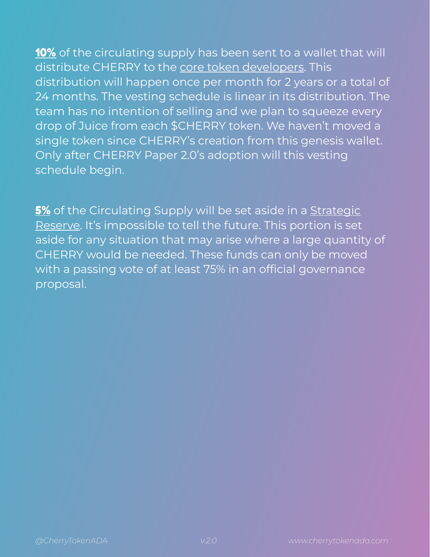10% of the circulating supply has been sent to a wallet that will distribute CHERRY to the core token developers. This distribution will happen once per month for 2 years or a total of 24 months. The vesting schedule is linear in its distribution. The team has no intention of selling and we plan to squeeze every drop of Juice from each \$CHERRY token. We haven't moved a single token since CHERRY's creation from this genesis wallet. Only after CHERRY Paper 2.0's adoption will this vesting schedule begin.

5% of the Circulating Supply will be set aside in a Strategic Reserve. It's impossible to tell the future. This portion is set aside for any situation that may arise where a large quantity of CHERRY would be needed. These funds can only be moved with a passing vote of at least 75% in an official governance proposal.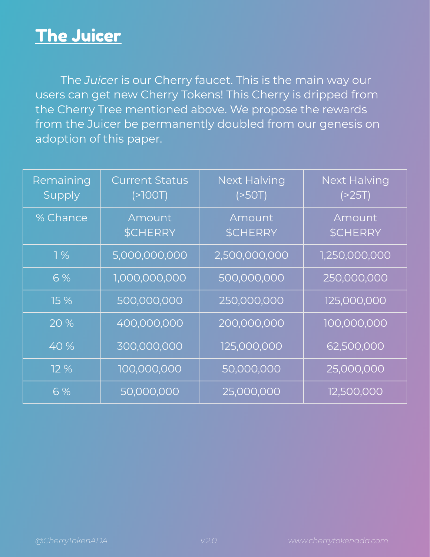### The Juicer

The *Juice*r is our Cherry faucet. This is the main way our users can get new Cherry Tokens! This Cherry is dripped from the Cherry Tree mentioned above. We propose the rewards from the Juicer be permanently doubled from our genesis on adoption of this paper.

| Remaining<br>Supply | <b>Current Status</b><br>(700T) | <b>Next Halving</b><br>(>50T) | <b>Next Halving</b><br>( > 25T) |
|---------------------|---------------------------------|-------------------------------|---------------------------------|
| % Chance            | Amount<br>\$CHERRY              | Amount<br><b>\$CHERRY</b>     | Amount<br>\$CHERRY              |
| $1\%$               | 5,000,000,000                   | 2,500,000,000                 | 1,250,000,000                   |
| 6%                  | 1,000,000,000                   | 500,000,000                   | 250,000,000                     |
| 15 %                | 500,000,000                     | 250,000,000                   | 125,000,000                     |
| 20 %                | 400,000,000                     | 200,000,000                   | 100,000,000                     |
| 40 %                | 300,000,000                     | 125,000,000                   | 62,500,000                      |
| 12%                 | 100,000,000                     | 50,000,000                    | 25,000,000                      |
| 6 %                 | 50,000,000                      | 25,000,000                    | 12,500,000                      |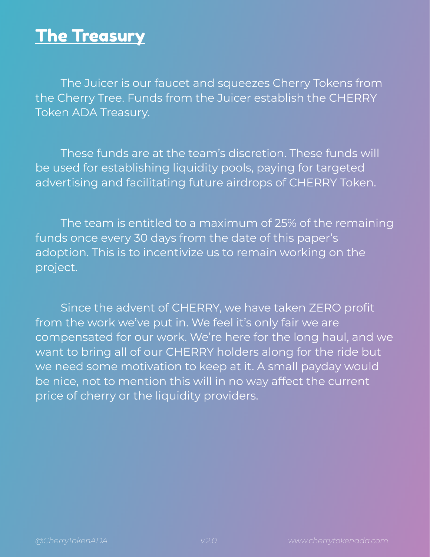### The Treasury

The Juicer is our faucet and squeezes Cherry Tokens from the Cherry Tree. Funds from the Juicer establish the CHERRY Token ADA Treasury.

These funds are at the team's discretion. These funds will be used for establishing liquidity pools, paying for targeted advertising and facilitating future airdrops of CHERRY Token.

The team is entitled to a maximum of 25% of the remaining funds once every 30 days from the date of this paper's adoption. This is to incentivize us to remain working on the project.

Since the advent of CHERRY, we have taken ZERO profit from the work we've put in. We feel it's only fair we are compensated for our work. We're here for the long haul, and we want to bring all of our CHERRY holders along for the ride but we need some motivation to keep at it. A small payday would be nice, not to mention this will in no way affect the current price of cherry or the liquidity providers.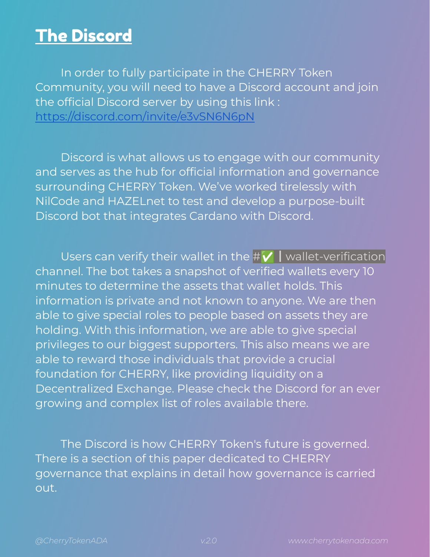### The Discord

In order to fully participate in the CHERRY Token Community, you will need to have a Discord account and join the official Discord server by using this link : <https://discord.com/invite/e3vSN6N6pN>

Discord is what allows us to engage with our community and serves as the hub for official information and governance surrounding CHERRY Token. We've worked tirelessly with NilCode and HAZELnet to test and develop a purpose-built Discord bot that integrates Cardano with Discord.

Users can verify their wallet in the # $V$  | wallet-verification channel. The bot takes a snapshot of verified wallets every 10 minutes to determine the assets that wallet holds. This information is private and not known to anyone. We are then able to give special roles to people based on assets they are holding. With this information, we are able to give special privileges to our biggest supporters. This also means we are able to reward those individuals that provide a crucial foundation for CHERRY, like providing liquidity on a Decentralized Exchange. Please check the Discord for an ever growing and complex list of roles available there.

The Discord is how CHERRY Token's future is governed. There is a section of this paper dedicated to CHERRY governance that explains in detail how governance is carried out.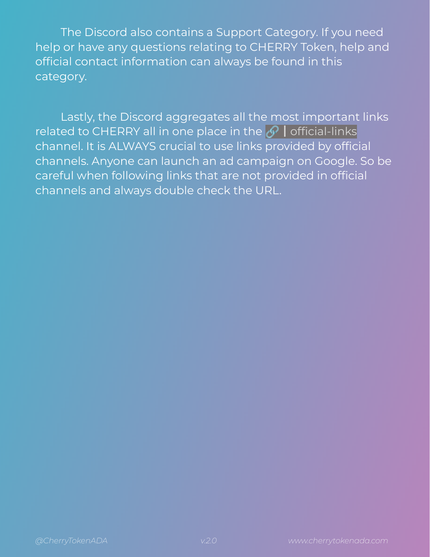The Discord also contains a Support Category. If you need help or have any questions relating to CHERRY Token, help and official contact information can always be found in this category.

Lastly, the Discord aggregates all the most important links related to CHERRY all in one place in the  $\bigcirc$  | official-links channel. It is ALWAYS crucial to use links provided by official channels. Anyone can launch an ad campaign on Google. So be careful when following links that are not provided in official channels and always double check the URL.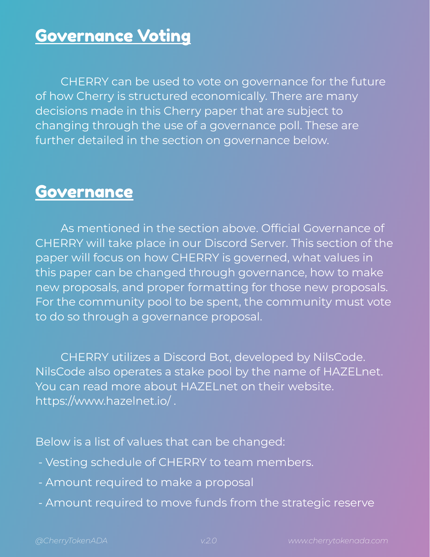### Governance Voting

CHERRY can be used to vote on governance for the future of how Cherry is structured economically. There are many decisions made in this Cherry paper that are subject to changing through the use of a governance poll. These are further detailed in the section on governance below.

### **Governance**

As mentioned in the section above. Official Governance of CHERRY will take place in our Discord Server. This section of the paper will focus on how CHERRY is governed, what values in this paper can be changed through governance, how to make new proposals, and proper formatting for those new proposals. For the community pool to be spent, the community must vote to do so through a governance proposal.

CHERRY utilizes a Discord Bot, developed by NilsCode. NilsCode also operates a stake pool by the name of HAZELnet. You can read more about HAZELnet on their website. https://www.hazelnet.io/ .

Below is a list of values that can be changed:

- Vesting schedule of CHERRY to team members.
- Amount required to make a proposal
- Amount required to move funds from the strategic reserve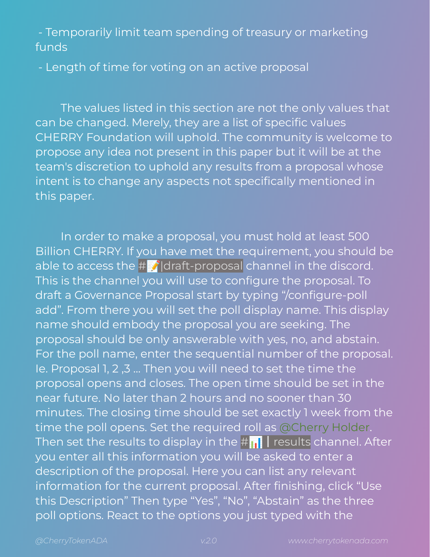- Temporarily limit team spending of treasury or marketing funds

- Length of time for voting on an active proposal

The values listed in this section are not the only values that can be changed. Merely, they are a list of specific values CHERRY Foundation will uphold. The community is welcome to propose any idea not present in this paper but it will be at the team's discretion to uphold any results from a proposal whose intent is to change any aspects not specifically mentioned in this paper.

In order to make a proposal, you must hold at least 500 Billion CHERRY. If you have met the requirement, you should be able to access the  $\#\mathbf{Z}$  draft-proposal channel in the discord. This is the channel you will use to configure the proposal. To draft a Governance Proposal start by typing "/configure-poll add". From there you will set the poll display name. This display name should embody the proposal you are seeking. The proposal should be only answerable with yes, no, and abstain. For the poll name, enter the sequential number of the proposal. Ie. Proposal 1, 2 ,3 … Then you will need to set the time the proposal opens and closes. The open time should be set in the near future. No later than 2 hours and no sooner than 30 minutes. The closing time should be set exactly 1 week from the time the poll opens. Set the required roll as @Cherry Holder. Then set the results to display in the  $\#\mathbf{r}$  | results channel. After you enter all this information you will be asked to enter a description of the proposal. Here you can list any relevant information for the current proposal. After finishing, click "Use this Description" Then type "Yes", "No", "Abstain" as the three poll options. React to the options you just typed with the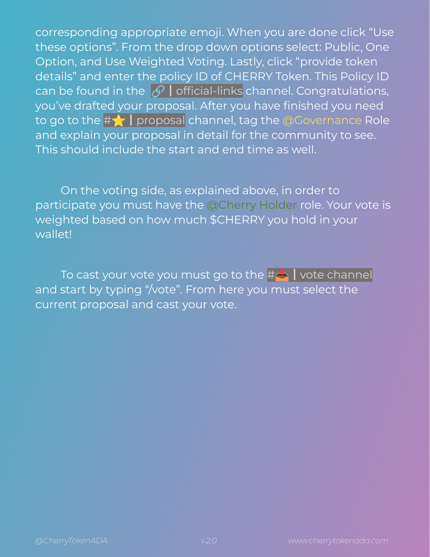corresponding appropriate emoji. When you are done click "Use these options". From the drop down options select: Public, One Option, and Use Weighted Voting. Lastly, click "provide token details" and enter the policy ID of CHERRY Token. This Policy ID can be found in the  $\mathscr O$  | official-links channel. Congratulations, you've drafted your proposal. After you have finished you need to go to the #  $\leftarrow$  | proposal channel, tag the @Governance Role and explain your proposal in detail for the community to see. This should include the start and end time as well.

On the voting side, as explained above, in order to participate you must have the @Cherry Holder role. Your vote is weighted based on how much \$CHERRY you hold in your wallet!

To cast your vote you must go to the #△ I vote channel and start by typing "/vote". From here you must select the current proposal and cast your vote.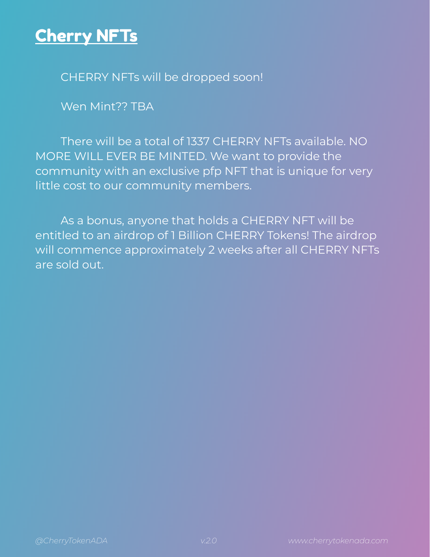### Cherry NFTs

CHERRY NFTs will be dropped soon!

Wen Mint?? TBA

There will be a total of 1337 CHERRY NFTs available. NO MORE WILL EVER BE MINTED. We want to provide the community with an exclusive pfp NFT that is unique for very little cost to our community members.

As a bonus, anyone that holds a CHERRY NFT will be entitled to an airdrop of 1 Billion CHERRY Tokens! The airdrop will commence approximately 2 weeks after all CHERRY NFTs are sold out.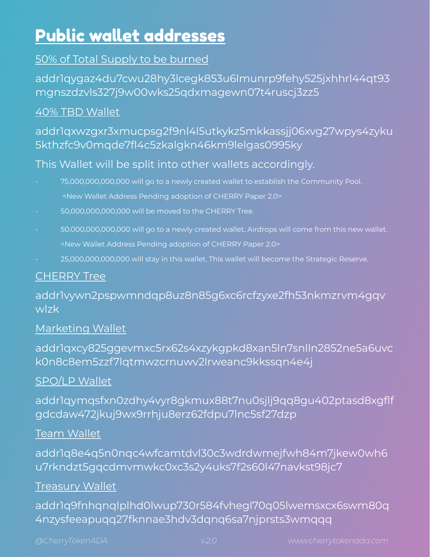### Public wallet addresses

### 50% of Total Supply to be burned

addr1qygaz4du7cwu28hy3lcegk853u6lmunrp9fehy525jxhhrl44qt93 mgnszdzvls327j9w00wks25qdxmagewn07t4ruscj3zz5

#### 40% TBD Wallet

### addr1qxwzgxr3xmucpsg2f9nl4l5utkykz5mkkassjj06xvg27wpys4zyku 5kthzfc9v0mqde7fl4c5zkalgkn46km9lelgas0995ky

#### This Wallet will be split into other wallets accordingly.

- 75,000,000,000,000 will go to a newly created wallet to establish the Community Pool. <New Wallet Address Pending adoption of CHERRY Paper 2.0>
- 50,000,000,000,000 will be moved to the CHERRY Tree.
- 50,000,000,000,000 will go to a newly created wallet. Airdrops will come from this new wallet. <New Wallet Address Pending adoption of CHERRY Paper 2.0>
- 25,000,000,000,000 will stay in this wallet. This wallet will become the Strategic Reserve.

#### CHERRY Tree

#### addr1vywn2pspwmndqp8uz8n85g6xc6rcfzyxe2fh53nkmzrvm4gqv wlzk

#### Marketing Wallet

addr1qxcy825ggevmxc5rx62s4xzykgpkd8xan5ln7snlln2852ne5a6uvc k0n8c8em5zzf7lqtmwzcrnuwv2lrweanc9kkssqn4e4j

#### SPO/LP Wallet

addr1qymqsfxn0zdhy4vyr8gkmux88t7nu0sjlj9qq8gu402ptasd8xgflf gdcdaw472jkuj9wx9rrhju8erz62fdpu7lnc5sf27dzp

#### Team Wallet

addr1q8e4q5n0nqc4wfcamtdvl30c3wdrdwmejfwh84m7jkew0wh6 u7rkndzt5gqcdmvmwkc0xc3s2y4uks7f2s60l47navkst98jc7

#### Treasury Wallet

addr1q9fnhqnqlplhd0lwup730r584fvhegl70q05lwemsxcx6swm80q 4nzysfeeapuqq27fknnae3hdv3dqnq6sa7njprsts3wmqqq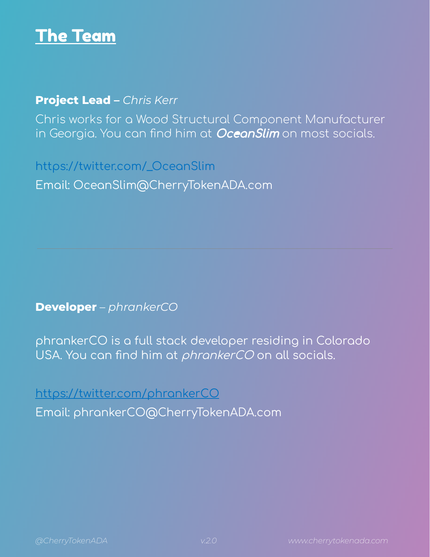

#### **Project Lead –** *Chris Kerr*

Chris works for a Wood Structural Component Manufacturer in Georgia. You can find him at **OceanSlim** on most socials.

https://twitter.com/\_OceanSlim Email: OceanSlim@CherryTokenADA.com

**Developer** – *phrankerCO*

phrankerCO is a full stack developer residing in Colorado USA. You can find him at *phrankerCO* on all socials.

<https://twitter.com/phrankerCO> Email: phrankerCO@CherryTokenADA.com